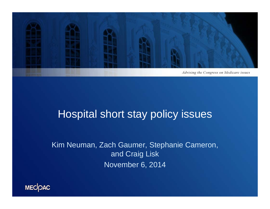

# Hospital short stay policy issues

Kim Neuman, Zach Gaumer, Stephanie Cameron, and Craig Lisk November 6, 2014

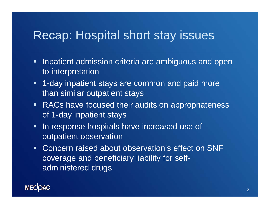# Recap: Hospital short stay issues

- $\blacksquare$  Inpatient admission criteria are ambiguous and open to interpretation
- $\blacksquare$  1-day inpatient stays are common and paid more than similar outpatient stays
- **RACs have focused their audits on appropriateness** of 1-day inpatient stays
- $\blacksquare$  In response hospitals have increased use of outpatient observation
- Concern raised about observation's effect on SNF coverage and beneficiary liability for selfadministered drugs

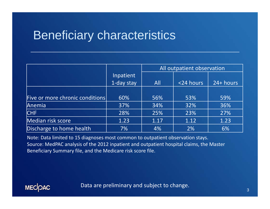# Beneficiary characteristics

|                                 |            | All outpatient observation |           |           |
|---------------------------------|------------|----------------------------|-----------|-----------|
|                                 | Inpatient  |                            |           |           |
|                                 | 1-day stay | All                        | <24 hours | 24+ hours |
|                                 |            |                            |           |           |
| Five or more chronic conditions | 60%        | 56%                        | 53%       | 59%       |
| Anemia                          | 37%        | 34%                        | 32%       | 36%       |
| <b>CHF</b>                      | 28%        | 25%                        | 23%       | 27%       |
| Median risk score               | 1.23       | 1.17                       | 1.12      | 1.23      |
| Discharge to home health        | 7%         | 4%                         | 2%        | 6%        |

Note: Data limited to 15 diagnoses most common to outpatient observation stays. Source: MedPAC analysis of the 2012 inpatient and outpatient hospital claims, the Master Beneficiary Summary file, and the Medicare risk score file.

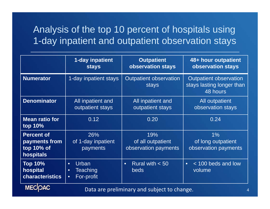#### Analysis of the top 10 percent of hospitals using 1-day inpatient and outpatient observation stays

|                                                               | 1-day inpatient<br><b>stays</b>                                               | <b>Outpatient</b><br>observation stays           | 48+ hour outpatient<br>observation stays                               |  |  |
|---------------------------------------------------------------|-------------------------------------------------------------------------------|--------------------------------------------------|------------------------------------------------------------------------|--|--|
| <b>Numerator</b>                                              | 1-day inpatient stays                                                         | <b>Outpatient observation</b><br>stays           | <b>Outpatient observation</b><br>stays lasting longer than<br>48 hours |  |  |
| <b>Denominator</b>                                            | All inpatient and<br>outpatient stays                                         | All inpatient and<br>outpatient stays            | All outpatient<br>observation stays                                    |  |  |
| <b>Mean ratio for</b><br>top 10%                              | 0.12                                                                          | 0.20                                             | 0.24                                                                   |  |  |
| <b>Percent of</b><br>payments from<br>top 10% of<br>hospitals | 26%<br>of 1-day inpatient<br>payments                                         | 19%<br>of all outpatient<br>observation payments | 1%<br>of long outpatient<br>observation payments                       |  |  |
| <b>Top 10%</b><br>hospital<br><b>characteristics</b>          | <b>Urban</b><br>$\bullet$<br>Teaching<br>$\bullet$<br>For-profit<br>$\bullet$ | Rural with $< 50$<br>$\bullet$<br><b>beds</b>    | < 100 beds and low<br>$\bullet$<br>volume                              |  |  |
| <b>MECOAC</b>                                                 | Data are preliminary and subject to change.                                   |                                                  |                                                                        |  |  |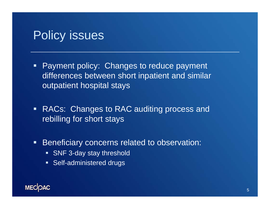# Policy issues

- **Payment policy: Changes to reduce payment** differences between short inpatient and similar outpatient hospital stays
- **RACs: Changes to RAC auditing process and** rebilling for short stays
- $\blacksquare$  Beneficiary concerns related to observation:
	- **SNF 3-day stay threshold**
	- **Self-administered drugs**

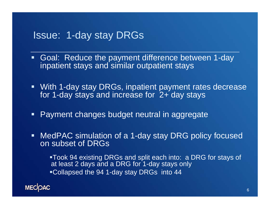#### Issue: 1-day stay DRGs

- $\blacksquare$  Goal: Reduce the payment difference between 1-day inpatient stays and similar outpatient stays
- With 1-day stay DRGs, inpatient payment rates decrease for 1-day stays and increase for 2+ day stays
- **Payment changes budget neutral in aggregate**
- MedPAC simulation of a 1-day stay DRG policy focused on subset of DRGs

**Took 94 existing DRGs and split each into: a DRG for stays of** at least 2 days and a DRG for 1-day stays only **-Collapsed the 94 1-day stay DRGs into 44** 

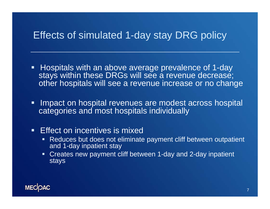#### Effects of simulated 1-day stay DRG policy

- $\blacksquare$  Hospitals with an above average prevalence of 1-day stays within these DRGs will see a revenue decrease; other hospitals will see a revenue increase or no change
- $\blacksquare$  Impact on hospital revenues are modest across hospital categories and most hospitals individually
- **Effect on incentives is mixed** 
	- $\blacksquare$  . Reduces but does not eliminate payment cliff between outpatient and 1-day inpatient stay
	- Creates new payment cliff between 1-day and 2-day inpatient stays

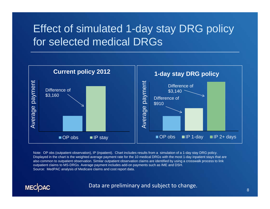# Effect of simulated 1-day stay DRG policy for selected medical DRGs



Note: OP obs (outpatient observation), IP (inpatient). Chart includes results from a simulation of a 1-day stay DRG policy. Displayed in the chart is the weighted average payment rate for the 10 medical DRGs with the most 1-day inpatient stays that ar e also common to outpatient observation. Similar outpatient observation claims are identified by using a crosswalk process to link outpatient claims to MS-DRGs. Average payment includes add-on payments such as IME and DSH. Source: MedPAC analysis of Medicare claims and cost report data.

**MECOAC** 

Data are preliminary and subject to change.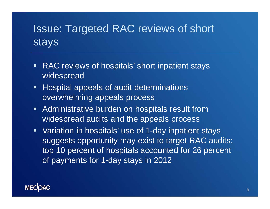# Issue: Targeted RAC reviews of short stays

- RAC reviews of hospitals' short inpatient stays widespread
- **Hospital appeals of audit determinations** overwhelming appeals process
- **Administrative burden on hospitals result from** widespread audits and the appeals process
- Variation in hospitals' use of 1-day inpatient stays suggests opportunity may exist to target RAC audits: top 10 percent of hospitals accounted for 26 percent of payments for 1-day stays in 2012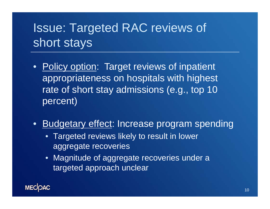# Issue: Targeted RAC reviews of short stays

- Policy option: Target reviews of inpatient appropriateness on hospitals with highest rate of short stay admissions (e.g., top 10 percent)
- Budgetary effect: Increase program spending
	- Targeted reviews likely to result in lower aggregate recoveries
	- Magnitude of aggregate recoveries under a targeted approach unclear

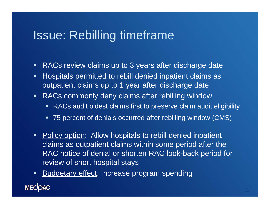# Issue: Rebilling timeframe

- $\blacksquare$ RACs review claims up to 3 years after discharge date
- $\blacksquare$  Hospitals permitted to rebill denied inpatient claims as outpatient claims up to 1 year after discharge date
- $\blacksquare$  RACs commonly deny claims after rebilling window
	- RACs audit oldest claims first to preserve claim audit eligibility
	- 75 percent of denials occurred after rebilling window (CMS)
- **Policy option:** Allow hospitals to rebill denied inpatient claims as outpatient claims within some period after the RAC notice of denial or shorten RAC look-back period for review of short hospital stays
- $\blacksquare$ **Budgetary effect: Increase program spending**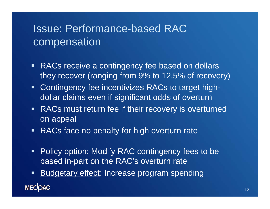# Issue: Performance-based RAC compensation

- **RACs receive a contingency fee based on dollars** they recover (ranging from 9% to 12.5% of recovery)
- **Contingency fee incentivizes RACs to target high**dollar claims even if significant odds of overturn
- **RACs must return fee if their recovery is overturned** on appeal
- **RACs face no penalty for high overturn rate**
- $\blacksquare$ Policy option: Modify RAC contingency fees to be based in-part on the RAC's overturn rate
- **Budgetary effect: Increase program spending**  $\blacksquare$ **MECOAC**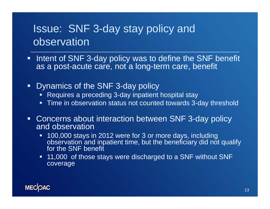# Issue: SNF 3-day stay policy and observation

- $\blacksquare$ Intent of SNF 3-day policy was to define the SNF benefit as a post-acute care, not a long-term care, benefit
- $\blacksquare$  Dynamics of the SNF 3-day policy
	- Requires a preceding 3-day inpatient hospital stay
	- Time in observation status not counted towards 3-day threshold
- $\blacksquare$  Concerns about interaction between SNF 3-day policy and observation
	- 100,000 stays in 2012 were for 3 or more days, including observation and inpatient time, but the beneficiary did not qualify for the SNF benefit
	- 11,000 of those stays were discharged to a SNF without SNF coverage

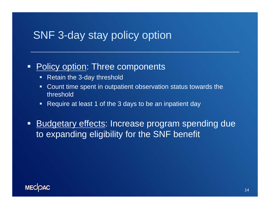#### SNF 3-day stay policy option

#### $\blacksquare$ Policy option: Three components

- Retain the 3-day threshold
- Count time spent in outpatient observation status towards the threshold
- Require at least 1 of the 3 days to be an inpatient day

 $\blacksquare$ **Budgetary effects: Increase program spending due** to expanding eligibility for the SNF benefit

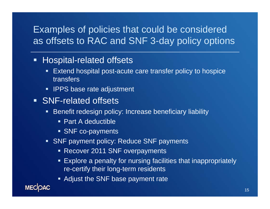#### Examples of policies that could be considered as offsets to RAC and SNF 3-day policy options

#### **Hospital-related offsets**

- $\blacksquare$  Extend hospital post-acute care transfer policy to hospice transfers
- **IPPS base rate adjustment**
- **SNF-related offsets** 
	- Benefit redesign policy: Increase beneficiary liability
		- Part A deductible
		- **SNF co-payments**
	- SNF payment policy: Reduce SNF payments
		- **Recover 2011 SNF overpayments**
		- Explore a penalty for nursing facilities that inappropriately re-certify their long-term residents
		- **Adjust the SNF base payment rate**

**MECOAC**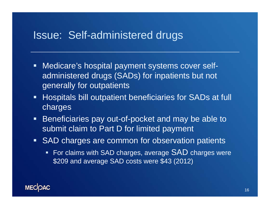#### Issue: Self-administered drugs

- $\blacksquare$  . Medicare's hospital payment systems cover selfadministered drugs (SADs) for inpatients but not generally for outpatients
- $\blacksquare$  . Hospitals bill outpatient beneficiaries for SADs at full charges
- $\blacksquare$  Beneficiaries pay out-of-pocket and may be able to submit claim to Part D for limited payment
- **SAD charges are common for observation patients** 
	- **For claims with SAD charges, average SAD charges were** \$209 and average SAD costs were \$43 (2012)

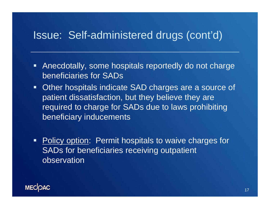#### Issue: Self-administered drugs (cont'd)

- Anecdotally, some hospitals reportedly do not charge beneficiaries for SADs
- **Other hospitals indicate SAD charges are a source of** patient dissatisfaction, but they believe they are required to charge for SADs due to laws prohibiting beneficiary inducements
- **Policy option: Permit hospitals to waive charges for** SADs for beneficiaries receiving outpatient observation